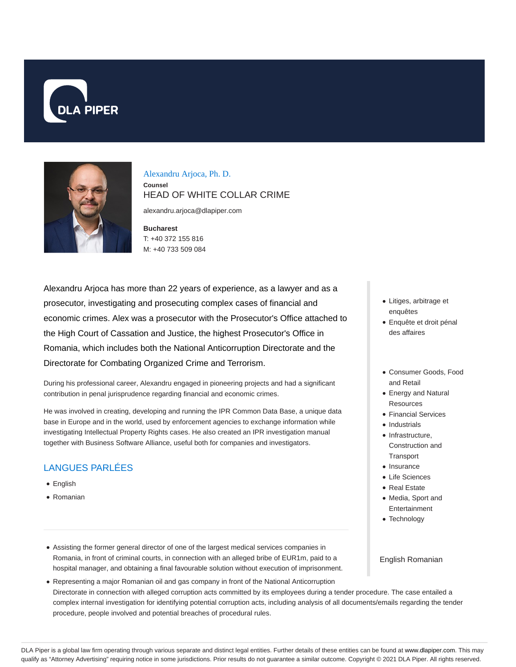



Alexandru Arjoca, Ph. D. **Counsel** HEAD OF WHITE COLLAR CRIME

alexandru.arjoca@dlapiper.com

**Bucharest** T: +40 372 155 816 M: +40 733 509 084

Alexandru Arjoca has more than 22 years of experience, as a lawyer and as a prosecutor, investigating and prosecuting complex cases of financial and economic crimes. Alex was a prosecutor with the Prosecutor's Office attached to the High Court of Cassation and Justice, the highest Prosecutor's Office in Romania, which includes both the National Anticorruption Directorate and the Directorate for Combating Organized Crime and Terrorism.

During his professional career, Alexandru engaged in pioneering projects and had a significant contribution in penal jurisprudence regarding financial and economic crimes.

He was involved in creating, developing and running the IPR Common Data Base, a unique data base in Europe and in the world, used by enforcement agencies to exchange information while investigating Intellectual Property Rights cases. He also created an IPR investigation manual together with Business Software Alliance, useful both for companies and investigators.

# LANGUES PARLÉES

- English
- Romanian
- Litiges, arbitrage et enquêtes
- Enquête et droit pénal des affaires
- Consumer Goods, Food and Retail
- Energy and Natural Resources
- Financial Services
- Industrials
- $\bullet$  Infrastructure, Construction and **Transport**
- Insurance
- Life Sciences
- Real Estate
- Media, Sport and Entertainment
- Technology
- Assisting the former general director of one of the largest medical services companies in Romania, in front of criminal courts, in connection with an alleged bribe of EUR1m, paid to a hospital manager, and obtaining a final favourable solution without execution of imprisonment.
- Representing a major Romanian oil and gas company in front of the National Anticorruption Directorate in connection with alleged corruption acts committed by its employees during a tender procedure. The case entailed a complex internal investigation for identifying potential corruption acts, including analysis of all documents/emails regarding the tender procedure, people involved and potential breaches of procedural rules.

DLA Piper is a global law firm operating through various separate and distinct legal entities. Further details of these entities can be found at www.dlapiper.com. This may qualify as "Attorney Advertising" requiring notice in some jurisdictions. Prior results do not guarantee a similar outcome. Copyright © 2021 DLA Piper. All rights reserved.

English Romanian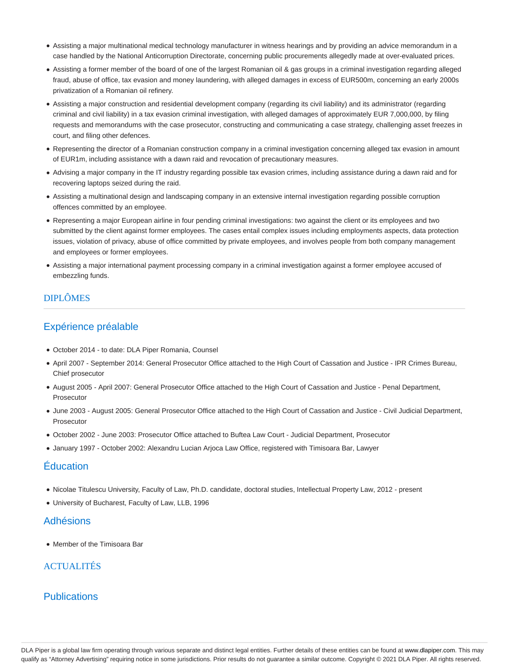- Assisting a major multinational medical technology manufacturer in witness hearings and by providing an advice memorandum in a case handled by the National Anticorruption Directorate, concerning public procurements allegedly made at over-evaluated prices.
- Assisting a former member of the board of one of the largest Romanian oil & gas groups in a criminal investigation regarding alleged fraud, abuse of office, tax evasion and money laundering, with alleged damages in excess of EUR500m, concerning an early 2000s privatization of a Romanian oil refinery.
- Assisting a major construction and residential development company (regarding its civil liability) and its administrator (regarding criminal and civil liability) in a tax evasion criminal investigation, with alleged damages of approximately EUR 7,000,000, by filing requests and memorandums with the case prosecutor, constructing and communicating a case strategy, challenging asset freezes in court, and filing other defences.
- Representing the director of a Romanian construction company in a criminal investigation concerning alleged tax evasion in amount of EUR1m, including assistance with a dawn raid and revocation of precautionary measures.
- Advising a major company in the IT industry regarding possible tax evasion crimes, including assistance during a dawn raid and for recovering laptops seized during the raid.
- Assisting a multinational design and landscaping company in an extensive internal investigation regarding possible corruption offences committed by an employee.
- Representing a major European airline in four pending criminal investigations: two against the client or its employees and two submitted by the client against former employees. The cases entail complex issues including employments aspects, data protection issues, violation of privacy, abuse of office committed by private employees, and involves people from both company management and employees or former employees.
- Assisting a major international payment processing company in a criminal investigation against a former employee accused of embezzling funds.

## DIPLÔMES

# Expérience préalable

- October 2014 to date: DLA Piper Romania, Counsel
- April 2007 September 2014: General Prosecutor Office attached to the High Court of Cassation and Justice IPR Crimes Bureau, Chief prosecutor
- August 2005 April 2007: General Prosecutor Office attached to the High Court of Cassation and Justice Penal Department, Prosecutor
- June 2003 August 2005: General Prosecutor Office attached to the High Court of Cassation and Justice Civil Judicial Department, **Prosecutor**
- October 2002 June 2003: Prosecutor Office attached to Buftea Law Court Judicial Department, Prosecutor
- January 1997 October 2002: Alexandru Lucian Arjoca Law Office, registered with Timisoara Bar, Lawyer

## Éducation

- Nicolae Titulescu University, Faculty of Law, Ph.D. candidate, doctoral studies, Intellectual Property Law, 2012 present
- University of Bucharest, Faculty of Law, LLB, 1996

#### Adhésions

• Member of the Timisoara Bar

## ACTUALITÉS

## **Publications**

DLA Piper is a global law firm operating through various separate and distinct legal entities. Further details of these entities can be found at www.dlapiper.com. This may qualify as "Attorney Advertising" requiring notice in some jurisdictions. Prior results do not guarantee a similar outcome. Copyright @ 2021 DLA Piper. All rights reserved.